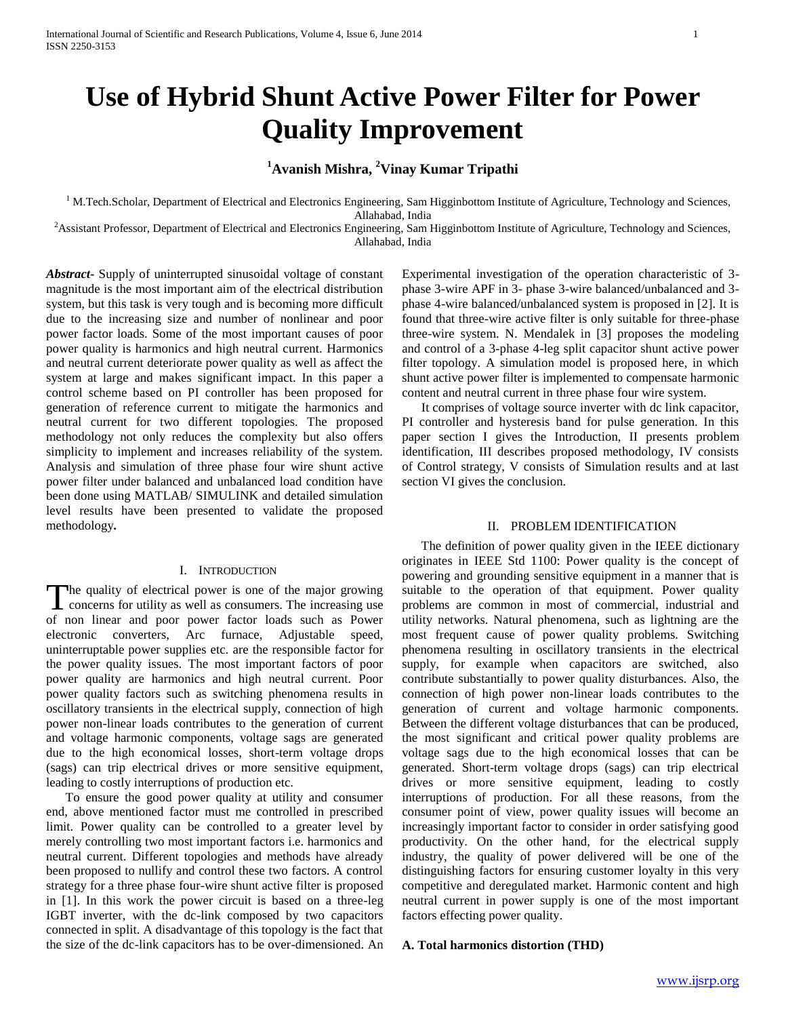# **Use of Hybrid Shunt Active Power Filter for Power Quality Improvement**

## **<sup>1</sup>Avanish Mishra, <sup>2</sup>Vinay Kumar Tripathi**

<sup>1</sup> M.Tech.Scholar, Department of Electrical and Electronics Engineering, Sam Higginbottom Institute of Agriculture, Technology and Sciences, Allahabad, India

<sup>2</sup>Assistant Professor, Department of Electrical and Electronics Engineering, Sam Higginbottom Institute of Agriculture, Technology and Sciences, Allahabad, India

*Abstract***-** Supply of uninterrupted sinusoidal voltage of constant magnitude is the most important aim of the electrical distribution system, but this task is very tough and is becoming more difficult due to the increasing size and number of nonlinear and poor power factor loads. Some of the most important causes of poor power quality is harmonics and high neutral current. Harmonics and neutral current deteriorate power quality as well as affect the system at large and makes significant impact. In this paper a control scheme based on PI controller has been proposed for generation of reference current to mitigate the harmonics and neutral current for two different topologies. The proposed methodology not only reduces the complexity but also offers simplicity to implement and increases reliability of the system. Analysis and simulation of three phase four wire shunt active power filter under balanced and unbalanced load condition have been done using MATLAB/ SIMULINK and detailed simulation level results have been presented to validate the proposed methodology*.*

## I. INTRODUCTION

he quality of electrical power is one of the major growing concerns for utility as well as consumers. The increasing use The quality of electrical power is one of the major growing<br>concerns for utility as well as consumers. The increasing use<br>of non-linear and poor power factor loads such as Power electronic converters, Arc furnace, Adjustable speed, uninterruptable power supplies etc. are the responsible factor for the power quality issues. The most important factors of poor power quality are harmonics and high neutral current. Poor power quality factors such as switching phenomena results in oscillatory transients in the electrical supply, connection of high power non-linear loads contributes to the generation of current and voltage harmonic components, voltage sags are generated due to the high economical losses, short-term voltage drops (sags) can trip electrical drives or more sensitive equipment, leading to costly interruptions of production etc.

 To ensure the good power quality at utility and consumer end, above mentioned factor must me controlled in prescribed limit. Power quality can be controlled to a greater level by merely controlling two most important factors i.e. harmonics and neutral current. Different topologies and methods have already been proposed to nullify and control these two factors. A control strategy for a three phase four-wire shunt active filter is proposed in [1]. In this work the power circuit is based on a three-leg IGBT inverter, with the dc-link composed by two capacitors connected in split. A disadvantage of this topology is the fact that the size of the dc-link capacitors has to be over-dimensioned. An Experimental investigation of the operation characteristic of 3 phase 3-wire APF in 3- phase 3-wire balanced/unbalanced and 3 phase 4-wire balanced/unbalanced system is proposed in [2]. It is found that three-wire active filter is only suitable for three-phase three-wire system. N. Mendalek in [3] proposes the modeling and control of a 3-phase 4-leg split capacitor shunt active power filter topology. A simulation model is proposed here, in which shunt active power filter is implemented to compensate harmonic content and neutral current in three phase four wire system.

 It comprises of voltage source inverter with dc link capacitor, PI controller and hysteresis band for pulse generation. In this paper section I gives the Introduction, II presents problem identification, III describes proposed methodology, IV consists of Control strategy, V consists of Simulation results and at last section VI gives the conclusion.

#### II. PROBLEM IDENTIFICATION

 The definition of power quality given in the IEEE dictionary originates in IEEE Std 1100: Power quality is the concept of powering and grounding sensitive equipment in a manner that is suitable to the operation of that equipment. Power quality problems are common in most of commercial, industrial and utility networks. Natural phenomena, such as lightning are the most frequent cause of power quality problems. Switching phenomena resulting in oscillatory transients in the electrical supply, for example when capacitors are switched, also contribute substantially to power quality disturbances. Also, the connection of high power non-linear loads contributes to the generation of current and voltage harmonic components. Between the different voltage disturbances that can be produced, the most significant and critical power quality problems are voltage sags due to the high economical losses that can be generated. Short-term voltage drops (sags) can trip electrical drives or more sensitive equipment, leading to costly interruptions of production. For all these reasons, from the consumer point of view, power quality issues will become an increasingly important factor to consider in order satisfying good productivity. On the other hand, for the electrical supply industry, the quality of power delivered will be one of the distinguishing factors for ensuring customer loyalty in this very competitive and deregulated market. Harmonic content and high neutral current in power supply is one of the most important factors effecting power quality.

#### **A. Total harmonics distortion (THD)**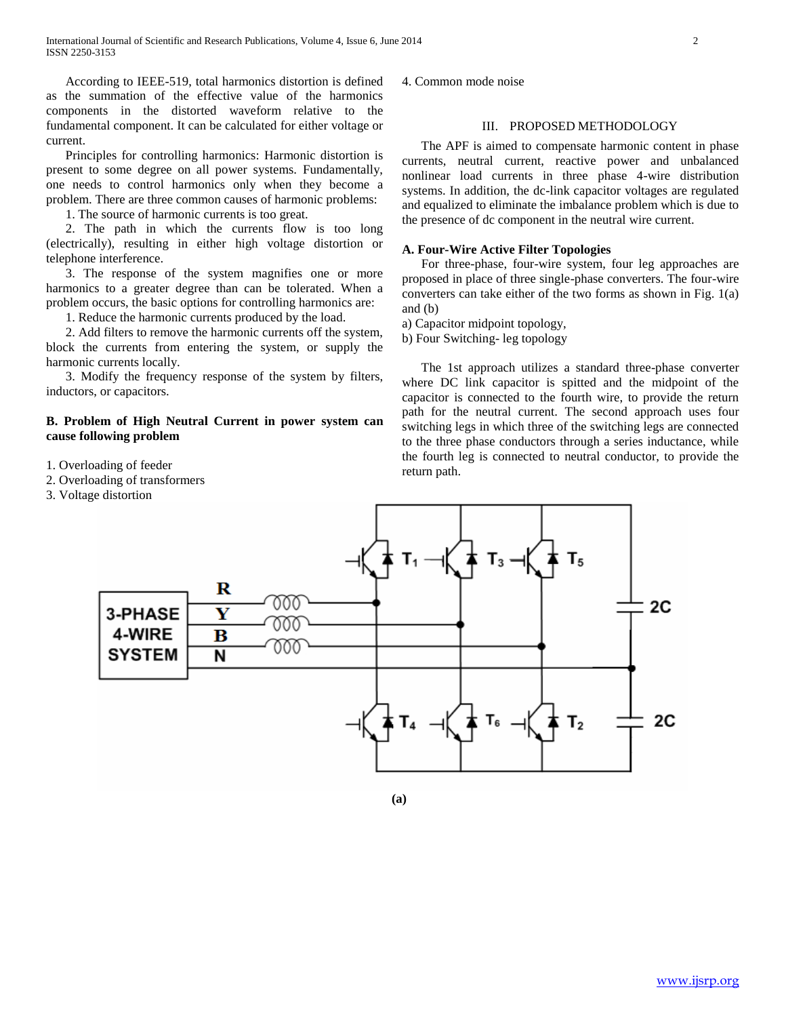According to IEEE-519, total harmonics distortion is defined as the summation of the effective value of the harmonics components in the distorted waveform relative to the fundamental component. It can be calculated for either voltage or current.

 Principles for controlling harmonics: Harmonic distortion is present to some degree on all power systems. Fundamentally, one needs to control harmonics only when they become a problem. There are three common causes of harmonic problems:

1. The source of harmonic currents is too great.

 2. The path in which the currents flow is too long (electrically), resulting in either high voltage distortion or telephone interference.

 3. The response of the system magnifies one or more harmonics to a greater degree than can be tolerated. When a problem occurs, the basic options for controlling harmonics are:

1. Reduce the harmonic currents produced by the load.

 2. Add filters to remove the harmonic currents off the system, block the currents from entering the system, or supply the harmonic currents locally.

 3. Modify the frequency response of the system by filters, inductors, or capacitors.

### **B. Problem of High Neutral Current in power system can cause following problem**

- 1. Overloading of feeder
- 2. Overloading of transformers
- 3. Voltage distortion

4. Common mode noise

## III. PROPOSED METHODOLOGY

 The APF is aimed to compensate harmonic content in phase currents, neutral current, reactive power and unbalanced nonlinear load currents in three phase 4-wire distribution systems. In addition, the dc-link capacitor voltages are regulated and equalized to eliminate the imbalance problem which is due to the presence of dc component in the neutral wire current.

#### **A. Four-Wire Active Filter Topologies**

 For three-phase, four-wire system, four leg approaches are proposed in place of three single-phase converters. The four-wire converters can take either of the two forms as shown in Fig. 1(a) and (b)

a) Capacitor midpoint topology,

b) Four Switching- leg topology

 The 1st approach utilizes a standard three-phase converter where DC link capacitor is spitted and the midpoint of the capacitor is connected to the fourth wire, to provide the return path for the neutral current. The second approach uses four switching legs in which three of the switching legs are connected to the three phase conductors through a series inductance, while the fourth leg is connected to neutral conductor, to provide the return path.

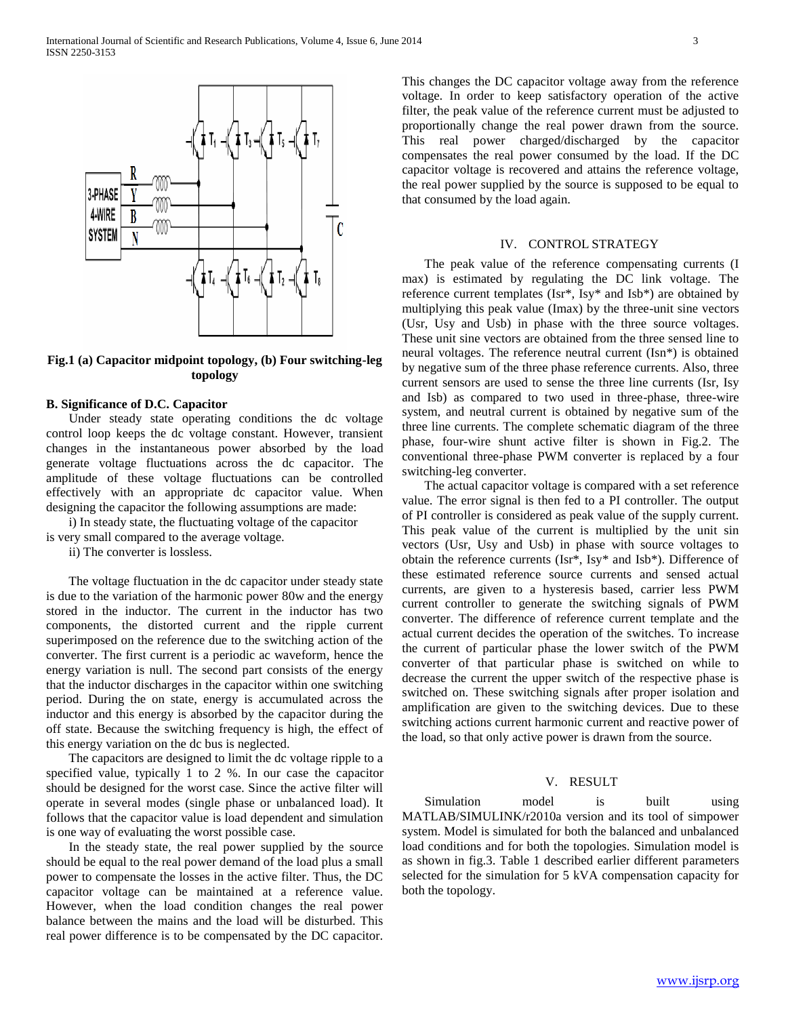

**Fig.1 (a) Capacitor midpoint topology, (b) Four switching-leg topology**

#### **B. Significance of D.C. Capacitor**

 Under steady state operating conditions the dc voltage control loop keeps the dc voltage constant. However, transient changes in the instantaneous power absorbed by the load generate voltage fluctuations across the dc capacitor. The amplitude of these voltage fluctuations can be controlled effectively with an appropriate dc capacitor value. When designing the capacitor the following assumptions are made:

 i) In steady state, the fluctuating voltage of the capacitor is very small compared to the average voltage.

ii) The converter is lossless.

 The voltage fluctuation in the dc capacitor under steady state is due to the variation of the harmonic power 80w and the energy stored in the inductor. The current in the inductor has two components, the distorted current and the ripple current superimposed on the reference due to the switching action of the converter. The first current is a periodic ac waveform, hence the energy variation is null. The second part consists of the energy that the inductor discharges in the capacitor within one switching period. During the on state, energy is accumulated across the inductor and this energy is absorbed by the capacitor during the off state. Because the switching frequency is high, the effect of this energy variation on the dc bus is neglected.

 The capacitors are designed to limit the dc voltage ripple to a specified value, typically 1 to 2 %. In our case the capacitor should be designed for the worst case. Since the active filter will operate in several modes (single phase or unbalanced load). It follows that the capacitor value is load dependent and simulation is one way of evaluating the worst possible case.

 In the steady state, the real power supplied by the source should be equal to the real power demand of the load plus a small power to compensate the losses in the active filter. Thus, the DC capacitor voltage can be maintained at a reference value. However, when the load condition changes the real power balance between the mains and the load will be disturbed. This real power difference is to be compensated by the DC capacitor. This changes the DC capacitor voltage away from the reference voltage. In order to keep satisfactory operation of the active filter, the peak value of the reference current must be adjusted to proportionally change the real power drawn from the source. This real power charged/discharged by the capacitor compensates the real power consumed by the load. If the DC capacitor voltage is recovered and attains the reference voltage, the real power supplied by the source is supposed to be equal to that consumed by the load again.

#### IV. CONTROL STRATEGY

 The peak value of the reference compensating currents (I max) is estimated by regulating the DC link voltage. The reference current templates (Isr\*, Isy\* and Isb\*) are obtained by multiplying this peak value (Imax) by the three-unit sine vectors (Usr, Usy and Usb) in phase with the three source voltages. These unit sine vectors are obtained from the three sensed line to neural voltages. The reference neutral current (Isn\*) is obtained by negative sum of the three phase reference currents. Also, three current sensors are used to sense the three line currents (Isr, Isy and Isb) as compared to two used in three-phase, three-wire system, and neutral current is obtained by negative sum of the three line currents. The complete schematic diagram of the three phase, four-wire shunt active filter is shown in Fig.2. The conventional three-phase PWM converter is replaced by a four switching-leg converter.

 The actual capacitor voltage is compared with a set reference value. The error signal is then fed to a PI controller. The output of PI controller is considered as peak value of the supply current. This peak value of the current is multiplied by the unit sin vectors (Usr, Usy and Usb) in phase with source voltages to obtain the reference currents (Isr\*, Isy\* and Isb\*). Difference of these estimated reference source currents and sensed actual currents, are given to a hysteresis based, carrier less PWM current controller to generate the switching signals of PWM converter. The difference of reference current template and the actual current decides the operation of the switches. To increase the current of particular phase the lower switch of the PWM converter of that particular phase is switched on while to decrease the current the upper switch of the respective phase is switched on. These switching signals after proper isolation and amplification are given to the switching devices. Due to these switching actions current harmonic current and reactive power of the load, so that only active power is drawn from the source.

#### V. RESULT

Simulation model is built using MATLAB/SIMULINK/r2010a version and its tool of simpower system. Model is simulated for both the balanced and unbalanced load conditions and for both the topologies. Simulation model is as shown in fig.3. Table 1 described earlier different parameters selected for the simulation for 5 kVA compensation capacity for both the topology.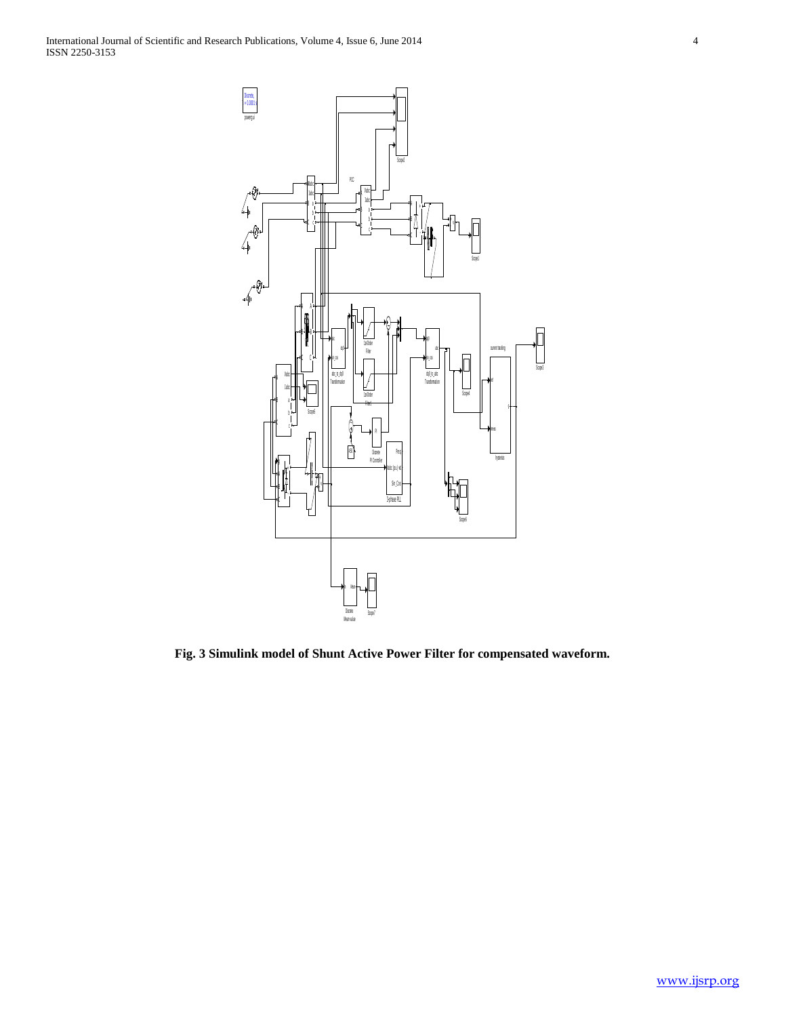

**Fig. 3 Simulink model of Shunt Active Power Filter for compensated waveform.**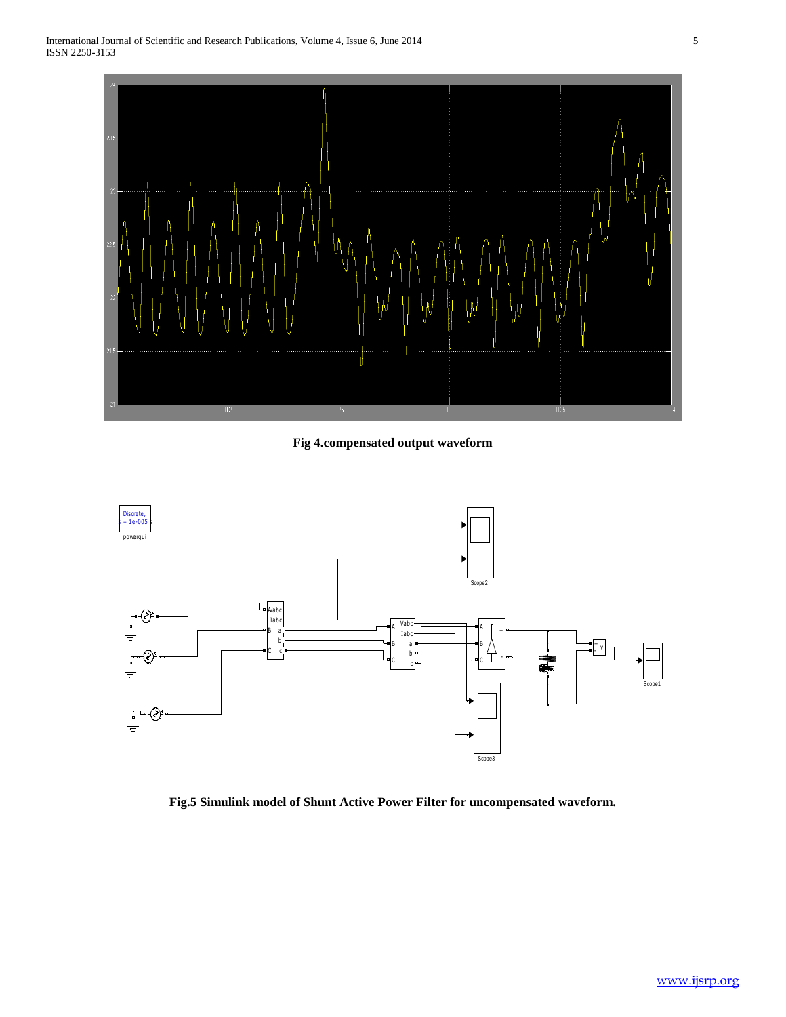

**Fig 4.compensated output waveform**



**Fig.5 Simulink model of Shunt Active Power Filter for uncompensated waveform.**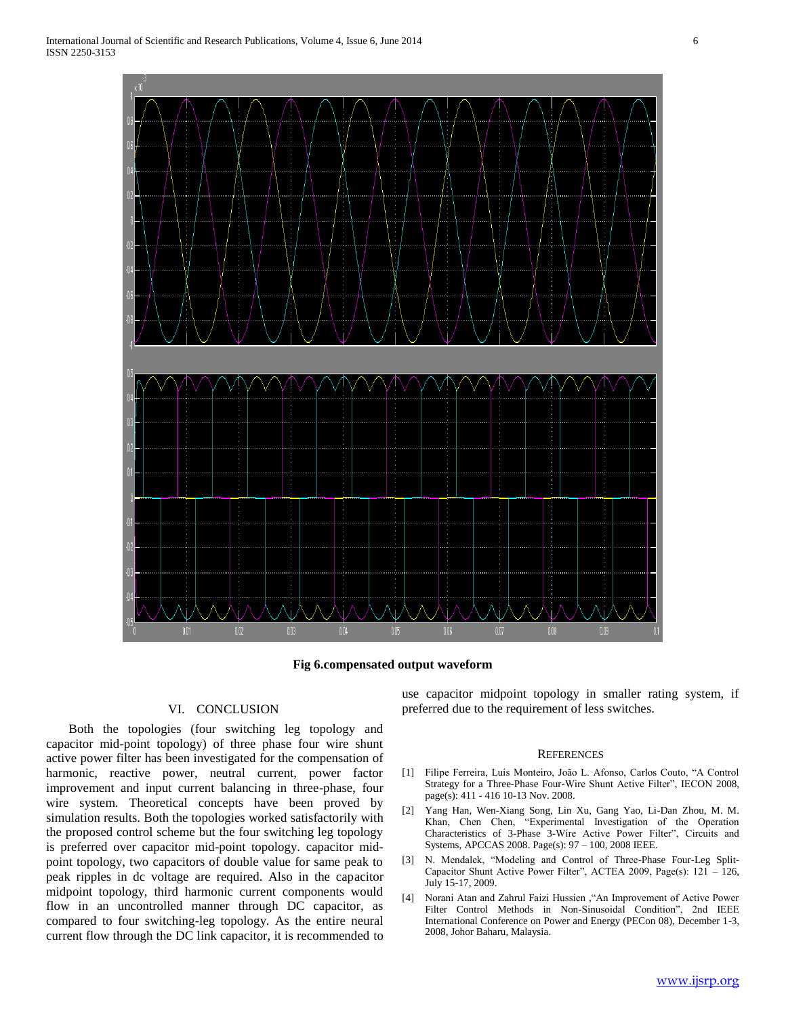

**Fig 6.compensated output waveform**

#### VI. CONCLUSION

 Both the topologies (four switching leg topology and capacitor mid-point topology) of three phase four wire shunt active power filter has been investigated for the compensation of harmonic, reactive power, neutral current, power factor improvement and input current balancing in three-phase, four wire system. Theoretical concepts have been proved by simulation results. Both the topologies worked satisfactorily with the proposed control scheme but the four switching leg topology is preferred over capacitor mid-point topology. capacitor midpoint topology, two capacitors of double value for same peak to peak ripples in dc voltage are required. Also in the capacitor midpoint topology, third harmonic current components would flow in an uncontrolled manner through DC capacitor, as compared to four switching-leg topology. As the entire neural current flow through the DC link capacitor, it is recommended to use capacitor midpoint topology in smaller rating system, if preferred due to the requirement of less switches.

#### **REFERENCES**

- [1] Filipe Ferreira, Luís Monteiro, João L. Afonso, Carlos Couto, "A Control Strategy for a Three-Phase Four-Wire Shunt Active Filter", IECON 2008, page(s): 411 - 416 10-13 Nov. 2008.
- [2] Yang Han, Wen-Xiang Song, Lin Xu, Gang Yao, Li-Dan Zhou, M. M. Khan, Chen Chen, "Experimental Investigation of the Operation Characteristics of 3-Phase 3-Wire Active Power Filter", Circuits and Systems, APCCAS 2008. Page(s): 97 – 100, 2008 IEEE.
- [3] N. Mendalek, "Modeling and Control of Three-Phase Four-Leg Split-Capacitor Shunt Active Power Filter", ACTEA 2009, Page(s): 121 – 126, July 15-17, 2009.
- [4] Norani Atan and Zahrul Faizi Hussien ,"An Improvement of Active Power Filter Control Methods in Non-Sinusoidal Condition", 2nd IEEE International Conference on Power and Energy (PECon 08), December 1-3, 2008, Johor Baharu, Malaysia.